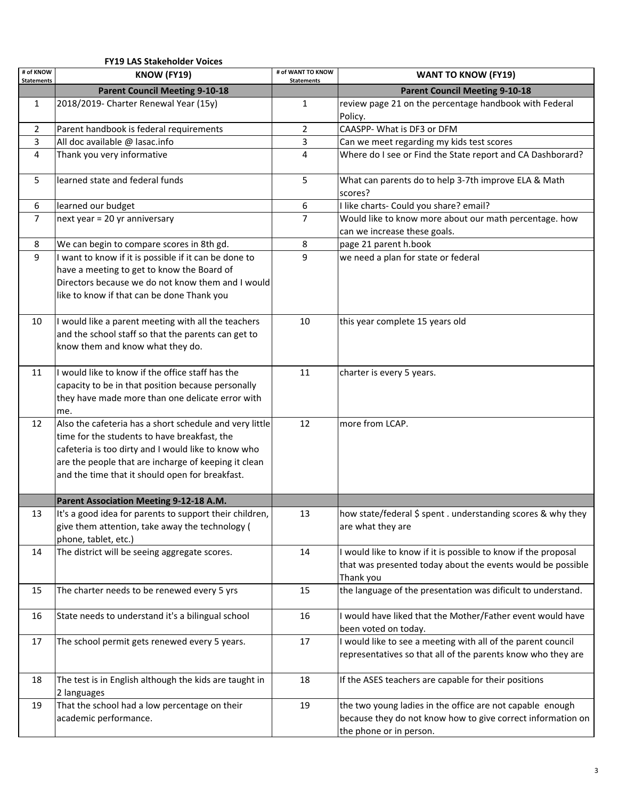|                                | <b>FY19 LAS Stakeholder Voices</b>                                                                                                                                                                                                                                        |                                        |                                                                                                                                                     |
|--------------------------------|---------------------------------------------------------------------------------------------------------------------------------------------------------------------------------------------------------------------------------------------------------------------------|----------------------------------------|-----------------------------------------------------------------------------------------------------------------------------------------------------|
| # of KNOW<br><b>Statements</b> | KNOW (FY19)                                                                                                                                                                                                                                                               | # of WANT TO KNOW<br><b>Statements</b> | <b>WANT TO KNOW (FY19)</b>                                                                                                                          |
|                                | <b>Parent Council Meeting 9-10-18</b>                                                                                                                                                                                                                                     |                                        | <b>Parent Council Meeting 9-10-18</b>                                                                                                               |
| $\mathbf{1}$                   | 2018/2019- Charter Renewal Year (15y)                                                                                                                                                                                                                                     | $\mathbf{1}$                           | review page 21 on the percentage handbook with Federal<br>Policy.                                                                                   |
| 2                              | Parent handbook is federal requirements                                                                                                                                                                                                                                   | 2                                      | CAASPP- What is DF3 or DFM                                                                                                                          |
| 3                              | All doc available @ lasac.info                                                                                                                                                                                                                                            | 3                                      | Can we meet regarding my kids test scores                                                                                                           |
| 4                              | Thank you very informative                                                                                                                                                                                                                                                | 4                                      | Where do I see or Find the State report and CA Dashborard?                                                                                          |
| 5                              | learned state and federal funds                                                                                                                                                                                                                                           | 5                                      | What can parents do to help 3-7th improve ELA & Math<br>scores?                                                                                     |
| 6                              | learned our budget                                                                                                                                                                                                                                                        | 6                                      | I like charts- Could you share? email?                                                                                                              |
| 7                              | next year = 20 yr anniversary                                                                                                                                                                                                                                             | $\overline{7}$                         | Would like to know more about our math percentage. how<br>can we increase these goals.                                                              |
| 8                              | We can begin to compare scores in 8th gd.                                                                                                                                                                                                                                 | 8                                      | page 21 parent h.book                                                                                                                               |
| 9                              | I want to know if it is possible if it can be done to<br>have a meeting to get to know the Board of<br>Directors because we do not know them and I would<br>like to know if that can be done Thank you                                                                    | 9                                      | we need a plan for state or federal                                                                                                                 |
| 10                             | I would like a parent meeting with all the teachers<br>and the school staff so that the parents can get to<br>know them and know what they do.                                                                                                                            | 10                                     | this year complete 15 years old                                                                                                                     |
| 11                             | I would like to know if the office staff has the<br>capacity to be in that position because personally<br>they have made more than one delicate error with<br>me.                                                                                                         | 11                                     | charter is every 5 years.                                                                                                                           |
| 12                             | Also the cafeteria has a short schedule and very little<br>time for the students to have breakfast, the<br>cafeteria is too dirty and I would like to know who<br>are the people that are incharge of keeping it clean<br>and the time that it should open for breakfast. | 12                                     | more from LCAP.                                                                                                                                     |
|                                | Parent Association Meeting 9-12-18 A.M.                                                                                                                                                                                                                                   |                                        |                                                                                                                                                     |
| 13                             | It's a good idea for parents to support their children,<br>give them attention, take away the technology (<br>phone, tablet, etc.)                                                                                                                                        | 13                                     | how state/federal \$ spent . understanding scores & why they<br>are what they are                                                                   |
| 14                             | The district will be seeing aggregate scores.                                                                                                                                                                                                                             | 14                                     | I would like to know if it is possible to know if the proposal<br>that was presented today about the events would be possible<br>Thank you          |
| 15                             | The charter needs to be renewed every 5 yrs                                                                                                                                                                                                                               | 15                                     | the language of the presentation was dificult to understand.                                                                                        |
| 16                             | State needs to understand it's a bilingual school                                                                                                                                                                                                                         | 16                                     | I would have liked that the Mother/Father event would have<br>been voted on today.                                                                  |
| 17                             | The school permit gets renewed every 5 years.                                                                                                                                                                                                                             | 17                                     | I would like to see a meeting with all of the parent council<br>representatives so that all of the parents know who they are                        |
| 18                             | The test is in English although the kids are taught in<br>2 languages                                                                                                                                                                                                     | 18                                     | If the ASES teachers are capable for their positions                                                                                                |
| 19                             | That the school had a low percentage on their<br>academic performance.                                                                                                                                                                                                    | 19                                     | the two young ladies in the office are not capable enough<br>because they do not know how to give correct information on<br>the phone or in person. |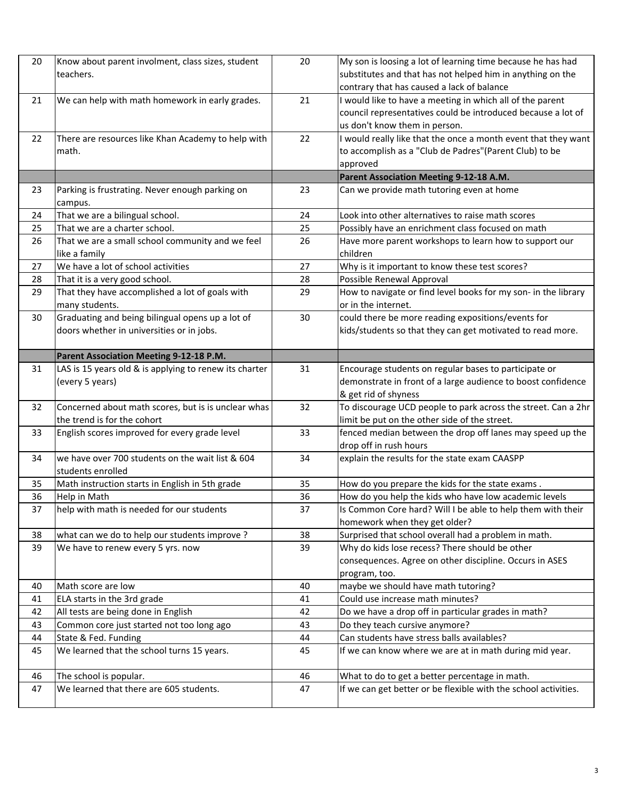| 20 | Know about parent involment, class sizes, student<br>teachers.                                | 20 | My son is loosing a lot of learning time because he has had<br>substitutes and that has not helped him in anything on the<br>contrary that has caused a lack of balance |
|----|-----------------------------------------------------------------------------------------------|----|-------------------------------------------------------------------------------------------------------------------------------------------------------------------------|
| 21 | We can help with math homework in early grades.                                               | 21 | I would like to have a meeting in which all of the parent<br>council representatives could be introduced because a lot of<br>us don't know them in person.              |
| 22 | There are resources like Khan Academy to help with<br>math.                                   | 22 | I would really like that the once a month event that they want<br>to accomplish as a "Club de Padres" (Parent Club) to be<br>approved                                   |
|    |                                                                                               |    | Parent Association Meeting 9-12-18 A.M.                                                                                                                                 |
| 23 | Parking is frustrating. Never enough parking on<br>campus.                                    | 23 | Can we provide math tutoring even at home                                                                                                                               |
| 24 | That we are a bilingual school.                                                               | 24 | Look into other alternatives to raise math scores                                                                                                                       |
| 25 | That we are a charter school.                                                                 | 25 | Possibly have an enrichment class focused on math                                                                                                                       |
| 26 | That we are a small school community and we feel<br>like a family                             | 26 | Have more parent workshops to learn how to support our<br>children                                                                                                      |
| 27 | We have a lot of school activities                                                            | 27 | Why is it important to know these test scores?                                                                                                                          |
| 28 | That it is a very good school.                                                                | 28 | Possible Renewal Approval                                                                                                                                               |
| 29 | That they have accomplished a lot of goals with<br>many students.                             | 29 | How to navigate or find level books for my son- in the library<br>or in the internet.                                                                                   |
| 30 | Graduating and being bilingual opens up a lot of<br>doors whether in universities or in jobs. | 30 | could there be more reading expositions/events for<br>kids/students so that they can get motivated to read more.                                                        |
|    | Parent Association Meeting 9-12-18 P.M.                                                       |    |                                                                                                                                                                         |
| 31 | LAS is 15 years old & is applying to renew its charter<br>(every 5 years)                     | 31 | Encourage students on regular bases to participate or<br>demonstrate in front of a large audience to boost confidence<br>& get rid of shyness                           |
| 32 | Concerned about math scores, but is is unclear whas<br>the trend is for the cohort            | 32 | To discourage UCD people to park across the street. Can a 2hr<br>limit be put on the other side of the street.                                                          |
| 33 | English scores improved for every grade level                                                 | 33 | fenced median between the drop off lanes may speed up the<br>drop off in rush hours                                                                                     |
| 34 | we have over 700 students on the wait list & 604<br>students enrolled                         | 34 | explain the results for the state exam CAASPP                                                                                                                           |
| 35 | Math instruction starts in English in 5th grade                                               | 35 | How do you prepare the kids for the state exams.                                                                                                                        |
| 36 | Help in Math                                                                                  | 36 | How do you help the kids who have low academic levels                                                                                                                   |
| 37 | help with math is needed for our students                                                     | 37 | Is Common Core hard? Will I be able to help them with their<br>homework when they get older?                                                                            |
| 38 | what can we do to help our students improve ?                                                 | 38 | Surprised that school overall had a problem in math.                                                                                                                    |
| 39 | We have to renew every 5 yrs. now                                                             | 39 | Why do kids lose recess? There should be other<br>consequences. Agree on other discipline. Occurs in ASES<br>program, too.                                              |
| 40 | Math score are low                                                                            | 40 | maybe we should have math tutoring?                                                                                                                                     |
| 41 | ELA starts in the 3rd grade                                                                   | 41 | Could use increase math minutes?                                                                                                                                        |
| 42 | All tests are being done in English                                                           | 42 | Do we have a drop off in particular grades in math?                                                                                                                     |
| 43 | Common core just started not too long ago                                                     | 43 | Do they teach cursive anymore?                                                                                                                                          |
| 44 | State & Fed. Funding                                                                          | 44 | Can students have stress balls availables?                                                                                                                              |
| 45 | We learned that the school turns 15 years.                                                    | 45 | If we can know where we are at in math during mid year.                                                                                                                 |
| 46 | The school is popular.                                                                        | 46 | What to do to get a better percentage in math.                                                                                                                          |
| 47 | We learned that there are 605 students.                                                       | 47 | If we can get better or be flexible with the school activities.                                                                                                         |